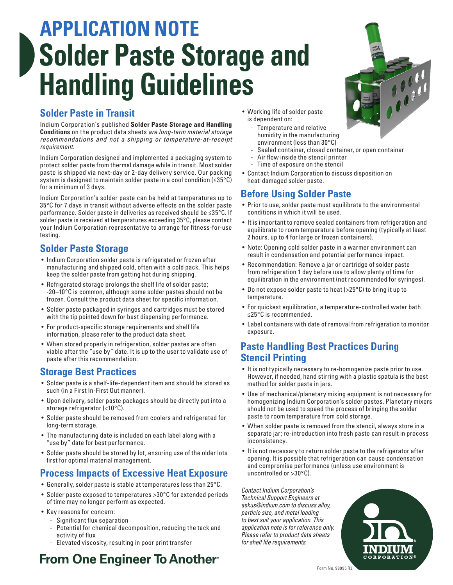# **APPLICATION NOTE Solder Paste Storage and Handling Guidelines**

#### **Solder Paste in Transit**

Indium Corporation's published **Solder Paste Storage and Handling Conditions** on the product data sheets *are long-term material storage recommendations and not a shipping or temperature-at-receipt requirement.*

Indium Corporation designed and implemented a packaging system to protect solder paste from thermal damage while in transit. Most solder paste is shipped via next-day or 2-day delivery service. Our packing system is designed to maintain solder paste in a cool condition (≤35°C) for a minimum of 3 days.

Indium Corporation's solder paste can be held at temperatures up to 35°C for 7 days in transit without adverse effects on the solder paste performance. Solder paste in deliveries as received should be ≤35°C. If solder paste is received at temperatures exceeding 35°C, please contact your Indium Corporation representative to arrange for fitness-for-use testing.

### **Solder Paste Storage**

- Indium Corporation solder paste is refrigerated or frozen after manufacturing and shipped cold, often with a cold pack. This helps keep the solder paste from getting hot during shipping.
- Refrigerated storage prolongs the shelf life of solder paste; -20–10°C is common, although some solder pastes should not be frozen. Consult the product data sheet for specific information.
- Solder paste packaged in syringes and cartridges must be stored with the tip pointed down for best dispensing performance.
- For product-specific storage requirements and shelf life information, please refer to the product data sheet.
- When stored properly in refrigeration, solder pastes are often viable after the "use by" date. It is up to the user to validate use of paste after this recommendation.

#### **Storage Best Practices**

- Solder paste is a shelf-life-dependent item and should be stored as such (in a First In-First Out manner).
- Upon delivery, solder paste packages should be directly put into a storage refrigerator (<10°C).
- Solder paste should be removed from coolers and refrigerated for long-term storage.
- The manufacturing date is included on each label along with a "use by" date for best performance.
- Solder paste should be stored by lot, ensuring use of the older lots first for optimal material management.
- Generally, solder paste is stable at temperatures less than 25°C.
- Solder paste exposed to temperatures >30°C for extended periods of time may no longer perform as expected.
- Key reasons for concern:
	- Significant flux separation
	- Potential for chemical decomposition, reducing the tack and activity of flux

**From One Engineer To Another** 

- Elevated viscosity, resulting in poor print transfer

# **Process Impacts of Excessive Heat Exposure**

#### Form No. 98995 R3

- Working life of solder paste is dependent on:
	- Temperature and relative humidity in the manufacturing environment (less than 30°C)
	- Sealed container, closed container, or open container
	- Air flow inside the stencil printer
	- Time of exposure on the stencil
- Contact Indium Corporation to discuss disposition on heat-damaged solder paste.

#### **Before Using Solder Paste**

- Prior to use, solder paste must equilibrate to the environmental conditions in which it will be used.
- It is important to remove sealed containers from refrigeration and equilibrate to room temperature before opening (typically at least 2 hours, up to 4 for large or frozen containers).
- Note: Opening cold solder paste in a warmer environment can result in condensation and potential performance impact.
- Recommendation: Remove a jar or cartridge of solder paste from refrigeration 1 day before use to allow plenty of time for equilibration in the environment (not recommended for syringes).
- Do not expose solder paste to heat (>25°C) to bring it up to temperature.
- For quickest equilibration, a temperature-controlled water bath ≤25°C is recommended.
- Label containers with date of removal from refrigeration to monitor exposure.

#### **Paste Handling Best Practices During Stencil Printing**

- It is not typically necessary to re-homogenize paste prior to use. However, if needed, hand stirring with a plastic spatula is the best method for solder paste in jars.
- Use of mechanical/planetary mixing equipment is not necessary for homogenizing Indium Corporation's solder pastes. Planetary mixers should not be used to speed the process of bringing the solder paste to room temperature from cold storage.
- When solder paste is removed from the stencil, always store in a separate jar; re-introduction into fresh paste can result in process inconsistency.
- It is not necessary to return solder paste to the refrigerator after opening. It is possible that refrigeration can cause condensation and compromise performance (unless use environment is uncontrolled or >30°C).

*Contact Indium Corporation's Technical Support Engineers at askus@indium.com to discuss alloy, particle size, and metal loading to best suit your application. This application note is for reference only. Please refer to product data sheets for shelf life requirements.*